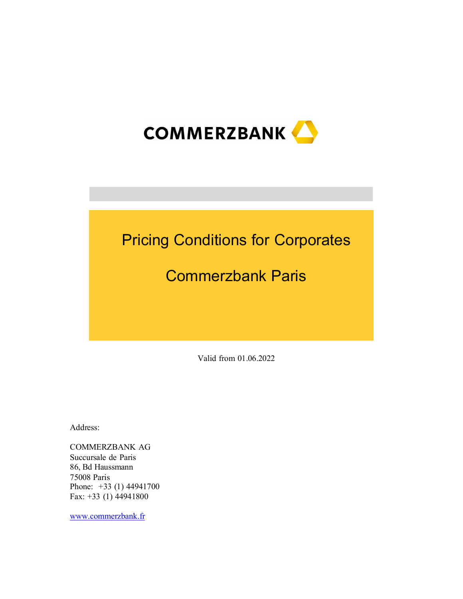

# Pricing Conditions for Corporates

# Commerzbank Paris

Valid from 01.06.2022

Address:

COMMERZBANK AG Succursale de Paris 86, Bd Haussmann 75008 Paris Phone: +33 (1) 44941700 Fax: +33 (1) 44941800

[www.commerzbank.fr](http://www.commerzbank.fr/)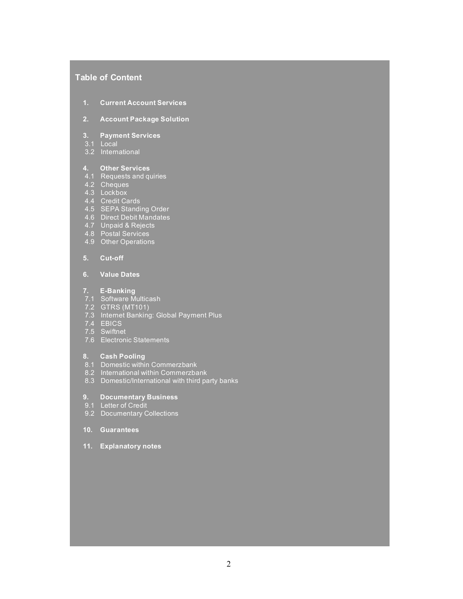# **Table of Content**

- **1. Current Account Services**
- **2. Account Package Solution**

### **3. Payment Services**

- 3.1 Local
- 3.2 International

### **4. Other Services**

- 4.1 Requests and quiries
- 4.2 Cheques
- 4.3 Lockbox
- 4.4 Credit Cards
- 4.5 SEPA Standing Order
- 4.6 Direct Debit Mandates
- 4.7 Unpaid & Rejects
- 4.8 Postal Services
- 4.9 Other Operations

### **5. Cut-off**

## **6. Value Dates**

### **7. E-Banking**

- 7.1 Software Multicash
- 7.2 GTRS (MT101)
- 7.3 Internet Banking: Global Payment Plus
- 7.4 EBICS
- 7.5 Swiftnet
- 7.6 Electronic Statements

### **8. Cash Pooling**

- 8.1 Domestic within Commerzbank
- 8.2 International within Commerzbank
- 8.3 Domestic/International with third party banks
- **9. Documentary Business**
- 9.1 Letter of Credit
- 9.2 Documentary Collections
- **10. Guarantees**
- **11. Explanatory notes**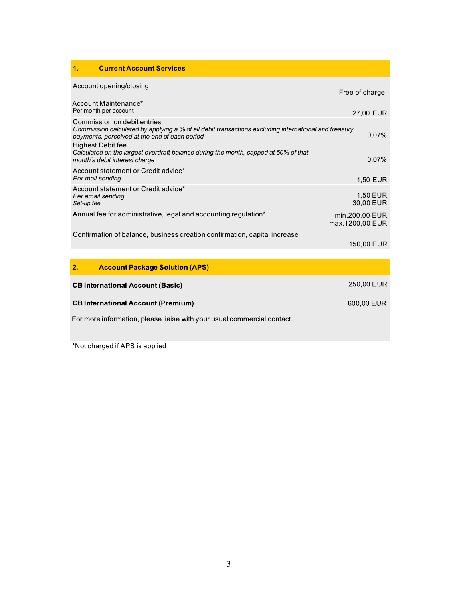# **1. Current Account Services**

| Account opening/closing                                                                                                                                                              | Free of charge                    |
|--------------------------------------------------------------------------------------------------------------------------------------------------------------------------------------|-----------------------------------|
| Account Maintenance*<br>Per month per account                                                                                                                                        | 27,00 EUR                         |
| Commission on debit entries<br>Commission calculated by applying a % of all debit transactions excluding international and treasury<br>payments, perceived at the end of each period | $0.07\%$                          |
| Highest Debit fee<br>Calculated on the largest overdraft balance during the month, capped at 50% of that<br>month's debit interest charge                                            | $0.07\%$                          |
| Account statement or Credit advice*<br>Per mail sending                                                                                                                              | 1,50 EUR                          |
| Account statement or Credit advice*<br>Per email sending<br>Set-up fee                                                                                                               | 1,50 EUR<br>30.00 EUR             |
| Annual fee for administrative, legal and accounting regulation*                                                                                                                      | min.200,00 EUR<br>max.1200,00 EUR |
| Confirmation of balance, business creation confirmation, capital increase                                                                                                            | 150,00 EUR                        |
|                                                                                                                                                                                      |                                   |

| 2.1 | <b>Account Package Solution (APS)</b>                                   |            |
|-----|-------------------------------------------------------------------------|------------|
|     | <b>CB International Account (Basic)</b>                                 | 250,00 EUR |
|     | <b>CB International Account (Premium)</b>                               | 600,00 EUR |
|     | For more information, please liaise with your usual commercial contact. |            |

\*Not charged if APS is applied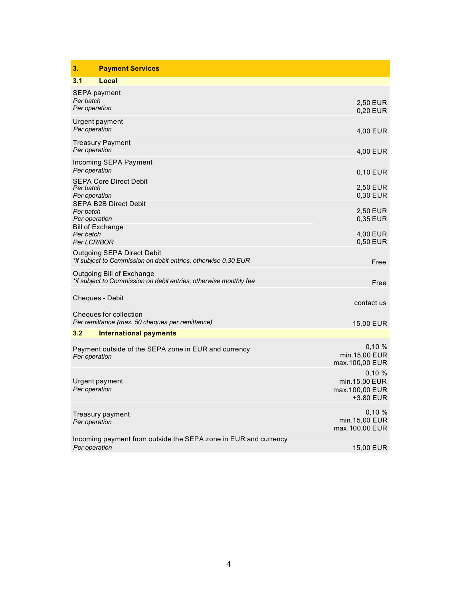| 3.<br><b>Payment Services</b>                                                                  |                                                       |
|------------------------------------------------------------------------------------------------|-------------------------------------------------------|
| 3.1<br>Local                                                                                   |                                                       |
| SEPA payment<br>Per batch<br>Per operation                                                     | 2,50 EUR<br>$0,20$ EUR                                |
| Urgent payment<br>Per operation                                                                | 4,00 EUR                                              |
| Treasury Payment<br>Per operation                                                              | 4,00 EUR                                              |
| Incoming SEPA Payment<br>Per operation                                                         | 0,10 EUR                                              |
| <b>SEPA Core Direct Debit</b><br>Per batch<br>Per operation                                    | 2,50 EUR<br>0.30 EUR                                  |
| SEPA B2B Direct Debit<br>Per batch<br>Per operation                                            | 2,50 EUR<br>0.35 EUR                                  |
| <b>Bill of Exchange</b><br>Per batch<br>Per LCR/BOR                                            | 4,00 EUR<br>0,50 EUR                                  |
| Outgoing SEPA Direct Debit<br>*if subject to Commission on debit entries, otherwise 0.30 EUR   | Free                                                  |
| Outgoing Bill of Exchange<br>*if subject to Commission on debit entries, otherwise monthly fee | Free                                                  |
| Cheques - Debit                                                                                | contact us                                            |
| Cheques for collection<br>Per remittance (max. 50 cheques per remittance)                      | 15,00 EUR                                             |
| 3.2<br><b>International payments</b>                                                           |                                                       |
| Payment outside of the SEPA zone in EUR and currency<br>Per operation                          | 0.10%<br>min.15,00 EUR<br>max.100,00 EUR              |
| Urgent payment<br>Per operation                                                                | 0.10%<br>min.15,00 EUR<br>max.100,00 EUR<br>+3.80 EUR |
| Treasury payment<br>Per operation                                                              | 0.10%<br>min.15,00 EUR<br>max.100,00 EUR              |
| Incoming payment from outside the SEPA zone in EUR and currency<br>Per operation               | 15,00 EUR                                             |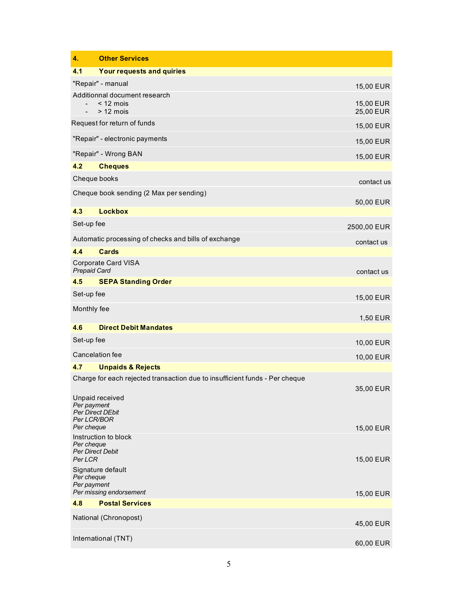| 4.                                                           | <b>Other Services</b>                                                       |                        |
|--------------------------------------------------------------|-----------------------------------------------------------------------------|------------------------|
| 4.1                                                          | Your requests and quiries                                                   |                        |
|                                                              | "Repair" - manual                                                           | 15,00 EUR              |
| $\overline{\phantom{0}}$                                     | Additionnal document research<br>$<$ 12 mois<br>$> 12$ mois                 | 15,00 EUR<br>25,00 EUR |
|                                                              | Request for return of funds                                                 | 15,00 EUR              |
|                                                              | "Repair" - electronic payments                                              | 15,00 EUR              |
|                                                              | "Repair" - Wrong BAN                                                        | 15,00 EUR              |
| 4.2                                                          | <b>Cheques</b>                                                              |                        |
| Cheque books                                                 |                                                                             | contact us             |
|                                                              | Cheque book sending (2 Max per sending)                                     | 50,00 EUR              |
| 4.3                                                          | <b>Lockbox</b>                                                              |                        |
| Set-up fee                                                   |                                                                             | 2500,00 EUR            |
|                                                              | Automatic processing of checks and bills of exchange                        | contact us             |
| 4.4                                                          | Cards                                                                       |                        |
| <b>Prepaid Card</b>                                          | <b>Corporate Card VISA</b>                                                  | contact us             |
| 4.5                                                          | <b>SEPA Standing Order</b>                                                  |                        |
| Set-up fee                                                   |                                                                             | 15,00 EUR              |
| Monthly fee                                                  |                                                                             | 1,50 EUR               |
| 4.6                                                          | <b>Direct Debit Mandates</b>                                                |                        |
| Set-up fee                                                   |                                                                             | 10,00 EUR              |
|                                                              | Cancelation fee                                                             | 10,00 EUR              |
| 4.7                                                          | <b>Unpaids &amp; Rejects</b>                                                |                        |
|                                                              | Charge for each rejected transaction due to insufficient funds - Per cheque | 35,00 EUR              |
| Per payment<br><b>Per Direct DEbit</b><br><b>Per LCR/BOR</b> | Unpaid received                                                             |                        |
| Per cheque                                                   |                                                                             | 15,00 EUR              |
| Per cheque<br><b>Per Direct Debit</b><br>Per LCR             | Instruction to block                                                        | 15,00 EUR              |
| Per cheque<br>Per payment                                    | Signature default                                                           |                        |
|                                                              | Per missing endorsement                                                     | 15,00 EUR              |
| 4.8                                                          | <b>Postal Services</b>                                                      |                        |
|                                                              | National (Chronopost)                                                       | 45,00 EUR              |
|                                                              | International (TNT)                                                         | 60,00 EUR              |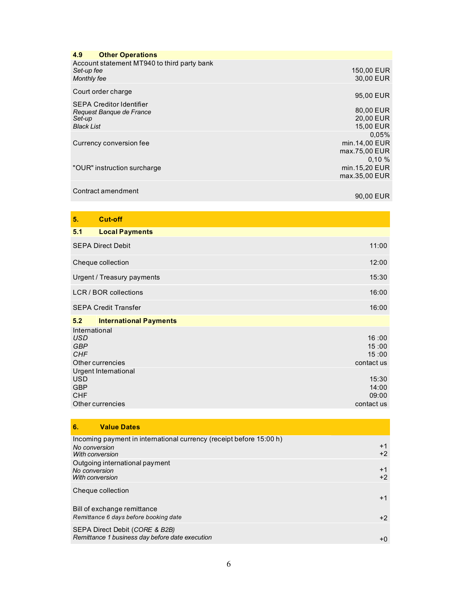| <b>Other Operations</b><br>4.9                                                             |                                             |
|--------------------------------------------------------------------------------------------|---------------------------------------------|
| Account statement MT940 to third party bank<br>Set-up fee<br>Monthly fee                   | 150,00 EUR<br>30,00 EUR                     |
| Court order charge                                                                         | 95,00 EUR                                   |
| <b>SEPA Creditor Identifier</b><br>Request Banque de France<br>Set-up<br><b>Black List</b> | 80,00 EUR<br>20,00 EUR<br>15,00 EUR         |
| Currency conversion fee                                                                    | 0,05%<br>min.14,00 EUR<br>max.75,00 EUR     |
| "OUR" instruction surcharge                                                                | $0.10 \%$<br>min.15,20 EUR<br>max.35,00 EUR |
| Contract amendment                                                                         |                                             |

90,00 EUR

| 5.                                                      | <b>Cut-off</b>                           |                                       |
|---------------------------------------------------------|------------------------------------------|---------------------------------------|
| 5.1                                                     | <b>Local Payments</b>                    |                                       |
|                                                         | <b>SEPA Direct Debit</b>                 | 11:00                                 |
|                                                         | Cheque collection                        | 12:00                                 |
|                                                         | Urgent / Treasury payments               | 15:30                                 |
|                                                         | LCR / BOR collections                    | 16:00                                 |
|                                                         | <b>SEPA Credit Transfer</b>              | 16:00                                 |
| 5.2                                                     | <b>International Payments</b>            |                                       |
| International<br><b>USD</b><br><b>GBP</b><br><b>CHF</b> | Other currencies<br>Urgent International | 16:00<br>15:00<br>15:00<br>contact us |
| <b>USD</b><br><b>GBP</b><br><b>CHF</b>                  | Other currencies                         | 15:30<br>14:00<br>09:00<br>contact us |

| <b>Value Dates</b><br>6.                                                                                |              |
|---------------------------------------------------------------------------------------------------------|--------------|
| Incoming payment in international currency (receipt before 15:00 h)<br>No conversion<br>With conversion | $+1$<br>$+2$ |
| Outgoing international payment<br>No conversion<br>With conversion                                      | $+1$<br>$+2$ |
| Cheque collection                                                                                       | $+1$         |
| Bill of exchange remittance<br>Remittance 6 days before booking date                                    | $+2$         |
| SEPA Direct Debit (CORE & B2B)<br>Remittance 1 business day before date execution                       | +Ω           |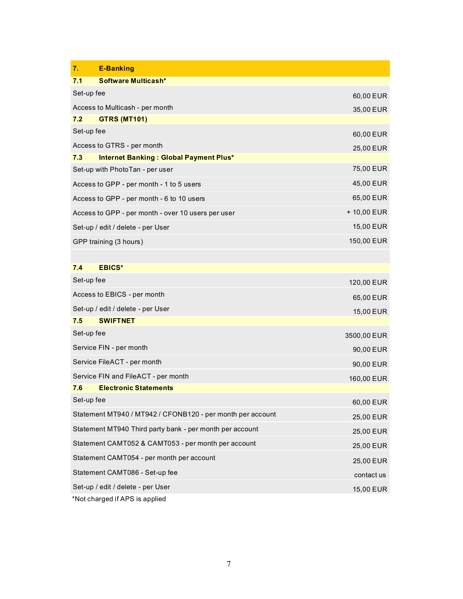| 7.         | <b>E-Banking</b>                                           |             |  |  |
|------------|------------------------------------------------------------|-------------|--|--|
| 7.1        | Software Multicash*                                        |             |  |  |
| Set-up fee |                                                            | 60,00 EUR   |  |  |
|            | Access to Multicash - per month                            | 35,00 EUR   |  |  |
| 7.2        | <b>GTRS (MT101)</b>                                        |             |  |  |
| Set-up fee |                                                            | 60,00 EUR   |  |  |
|            | Access to GTRS - per month                                 | 25,00 EUR   |  |  |
| 7.3        | Internet Banking: Global Payment Plus*                     |             |  |  |
|            | Set-up with PhotoTan - per user                            | 75,00 EUR   |  |  |
|            | Access to GPP - per month - 1 to 5 users                   | 45,00 EUR   |  |  |
|            | Access to GPP - per month - 6 to 10 users                  | 65,00 EUR   |  |  |
|            | Access to GPP - per month - over 10 users per user         | + 10,00 EUR |  |  |
|            | Set-up / edit / delete - per User                          | 15,00 EUR   |  |  |
|            | GPP training (3 hours)                                     | 150,00 EUR  |  |  |
|            |                                                            |             |  |  |
| 7.4        | <b>EBICS*</b>                                              |             |  |  |
| Set-up fee |                                                            | 120,00 EUR  |  |  |
|            | Access to EBICS - per month                                | 65,00 EUR   |  |  |
|            | Set-up / edit / delete - per User                          | 15,00 EUR   |  |  |
| 7.5        | <b>SWIFTNET</b>                                            |             |  |  |
| Set-up fee |                                                            | 3500,00 EUR |  |  |
|            | Service FIN - per month                                    | 90,00 EUR   |  |  |
|            | Service FileACT - per month                                | 90,00 EUR   |  |  |
|            | Service FIN and FileACT - per month                        | 160,00 EUR  |  |  |
| 7.6        | <b>Electronic Statements</b>                               |             |  |  |
| Set-up fee |                                                            | 60,00 EUR   |  |  |
|            | Statement MT940 / MT942 / CFONB120 - per month per account | 25,00 EUR   |  |  |
|            | Statement MT940 Third party bank - per month per account   | 25,00 EUR   |  |  |
|            | Statement CAMT052 & CAMT053 - per month per account        | 25,00 EUR   |  |  |
|            | Statement CAMT054 - per month per account                  | 25,00 EUR   |  |  |
|            | Statement CAMT086 - Set-up fee                             | contact us  |  |  |
|            | Set-up / edit / delete - per User                          | 15,00 EUR   |  |  |
|            | *Not charged if APS is applied                             |             |  |  |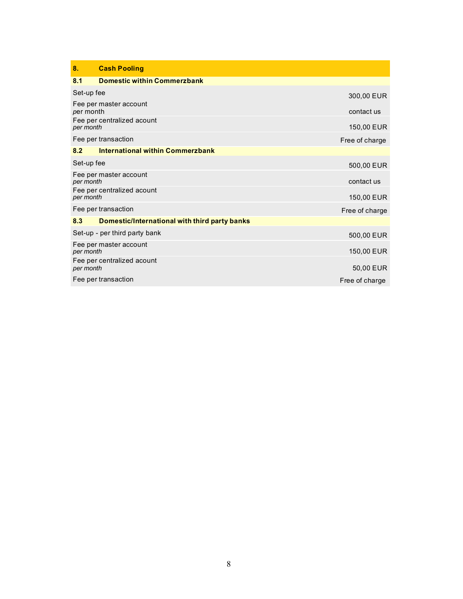| 8.         | <b>Cash Pooling</b>                           |                |
|------------|-----------------------------------------------|----------------|
| 8.1        | <b>Domestic within Commerzbank</b>            |                |
| Set-up fee |                                               | 300,00 EUR     |
| per month  | Fee per master account                        | contact us     |
| per month  | Fee per centralized acount                    | 150,00 EUR     |
|            | Fee per transaction                           | Free of charge |
| 8.2        | <b>International within Commerzbank</b>       |                |
| Set-up fee |                                               | 500,00 EUR     |
| per month  | Fee per master account                        | contact us     |
| per month  | Fee per centralized acount                    | 150,00 EUR     |
|            | Fee per transaction                           | Free of charge |
| 8.3        | Domestic/International with third party banks |                |
|            | Set-up - per third party bank                 | 500,00 EUR     |
| per month  | Fee per master account                        | 150,00 EUR     |
| per month  | Fee per centralized acount                    | 50,00 EUR      |
|            | Fee per transaction                           | Free of charge |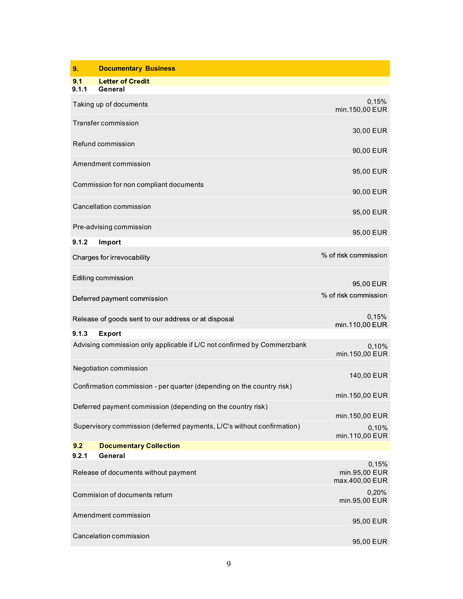| 9.           | <b>Documentary Business</b>                                             |                                          |
|--------------|-------------------------------------------------------------------------|------------------------------------------|
| 9.1<br>9.1.1 | <b>Letter of Credit</b><br>General                                      |                                          |
|              |                                                                         |                                          |
|              | Taking up of documents                                                  | 0,15%<br>min.150,00 EUR                  |
|              | Transfer commission                                                     | 30,00 EUR                                |
|              | Refund commission                                                       | 90,00 EUR                                |
|              | Amendment commission                                                    | 95,00 EUR                                |
|              | Commission for non compliant documents                                  | 90,00 EUR                                |
|              | Cancellation commission                                                 | 95,00 EUR                                |
|              | Pre-advising commission                                                 | 95,00 EUR                                |
| 9.1.2        | Import                                                                  |                                          |
|              | Charges for irrevocability                                              | % of risk commission                     |
|              | Editing commission                                                      | 95,00 EUR                                |
|              | Deferred payment commission                                             | % of risk commission                     |
|              | Release of goods sent to our address or at disposal                     | 0,15%<br>min.110,00 EUR                  |
| 9.1.3        | <b>Export</b>                                                           |                                          |
|              | Advising commission only applicable if L/C not confirmed by Commerzbank | 0,10%<br>min.150,00 EUR                  |
|              | Negotiation commission                                                  | 140,00 EUR                               |
|              | Confirmation commission - per quarter (depending on the country risk)   | min.150,00 EUR                           |
|              | Deferred payment commission (depending on the country risk)             | min.150,00 EUR                           |
|              | Supervisory commission (deferred payments, L/C's without confirmation)  | 0,10%<br>min.110,00 EUR                  |
| 9.2          | <b>Documentary Collection</b>                                           |                                          |
| 9.2.1        | General                                                                 |                                          |
|              | Release of documents without payment                                    | 0,15%<br>min.95,00 EUR<br>max.400,00 EUR |
|              | Commision of documents return                                           | 0,20%<br>min.95,00 EUR                   |
|              | Amendment commission                                                    | 95,00 EUR                                |
|              | Cancelation commission                                                  | 95,00 EUR                                |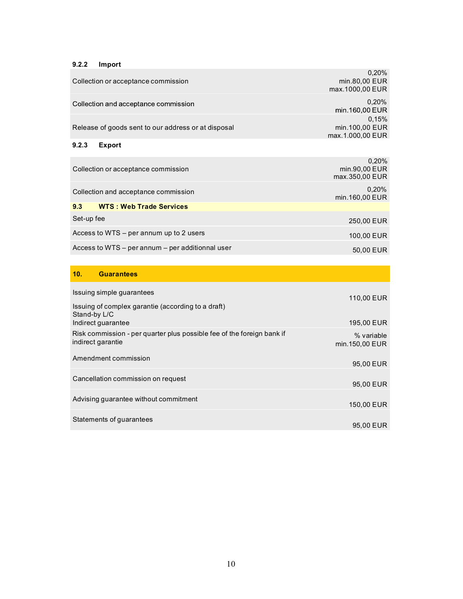## **9.2.2 Import**

|                                                     | 0.20%                   |
|-----------------------------------------------------|-------------------------|
| Collection or acceptance commission                 | min.80,00 EUR           |
|                                                     | max.1000,00 EUR         |
| Collection and acceptance commission                | 0.20%<br>min.160,00 EUR |
|                                                     | 0.15%                   |
| Release of goods sent to our address or at disposal | min.100,00 EUR          |
|                                                     | max.1.000,00 EUR        |
| 9.2.3<br><b>Export</b>                              |                         |
|                                                     | 0,20%                   |
| Collection or acceptance commission                 | min.90,00 EUR           |
|                                                     | max.350,00 EUR          |
|                                                     | 0,20%                   |
| Collection and acceptance commission                | min.160,00 EUR          |
|                                                     |                         |
| <b>WTS: Web Trade Services</b><br>9.3               |                         |

| Set-up fee                                       | 250,00 EUR |
|--------------------------------------------------|------------|
| Access to WTS – per annum up to 2 users          | 100.00 EUR |
| Access to WTS – per annum – per additionnal user | 50,00 EUR  |

# **10. Guarantees**

| Issuing simple guarantees                                                                   | 110,00 EUR                   |
|---------------------------------------------------------------------------------------------|------------------------------|
| Issuing of complex garantie (according to a draft)<br>Stand-by L/C<br>Indirect guarantee    | 195,00 EUR                   |
|                                                                                             |                              |
| Risk commission - per quarter plus possible fee of the foreign bank if<br>indirect garantie | % variable<br>min.150,00 EUR |
| Amendment commission                                                                        | 95,00 EUR                    |
| Cancellation commission on request                                                          | 95,00 EUR                    |
| Advising guarantee without commitment                                                       | 150,00 EUR                   |
| Statements of guarantees                                                                    | 95.00 EUR                    |